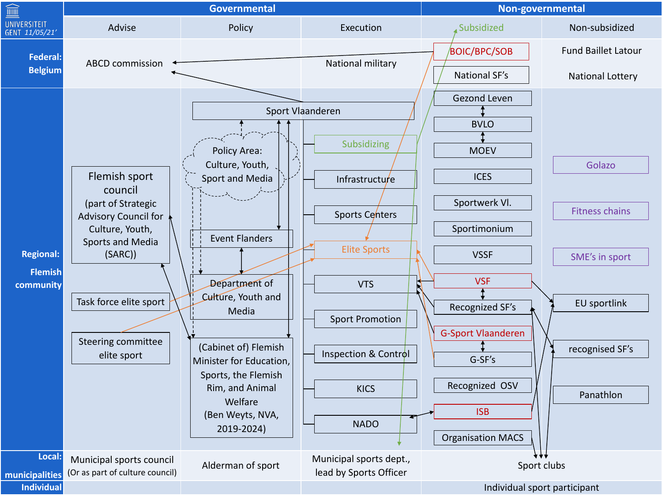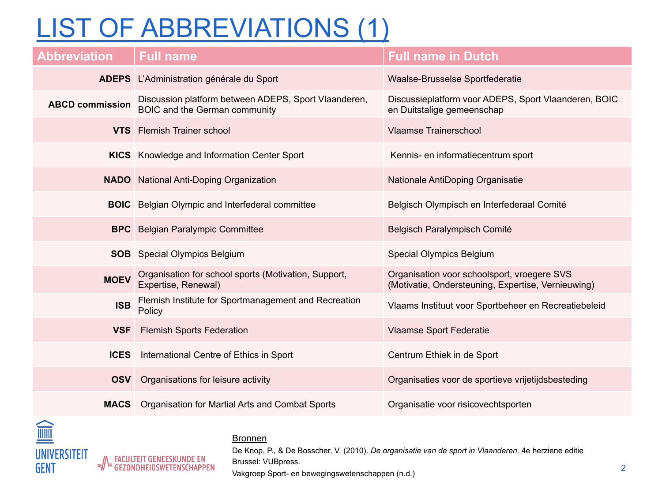## LIST OF ABBREVIATIONS (1)

| <b>Abbreviation</b>    | <b>Full name</b>                                                                             | <b>Full name in Dutch</b>                                                                         |
|------------------------|----------------------------------------------------------------------------------------------|---------------------------------------------------------------------------------------------------|
|                        | <b>ADEPS</b> L'Administration générale du Sport                                              | <b>Waalse-Brusselse Sportfederatie</b>                                                            |
| <b>ABCD commission</b> | Discussion platform between ADEPS, Sport Vlaanderen,<br><b>BOIC and the German community</b> | Discussieplatform voor ADEPS, Sport Vlaanderen, BOIC<br>en Duitstalige gemeenschap                |
|                        | <b>VTS</b> Flemish Trainer school                                                            | <b>Vlaamse Trainerschool</b>                                                                      |
|                        | <b>KICS</b> Knowledge and Information Center Sport                                           | Kennis- en informatiecentrum sport                                                                |
|                        | <b>NADO</b> National Anti-Doping Organization                                                | Nationale AntiDoping Organisatie                                                                  |
|                        | <b>BOIC</b> Belgian Olympic and Interfederal committee                                       | Belgisch Olympisch en Interfederaal Comité                                                        |
|                        | <b>BPC</b> Belgian Paralympic Committee                                                      | Belgisch Paralympisch Comité                                                                      |
|                        | <b>SOB</b> Special Olympics Belgium                                                          | <b>Special Olympics Belgium</b>                                                                   |
| <b>MOEV</b>            | Organisation for school sports (Motivation, Support,<br>Expertise, Renewal)                  | Organisation voor schoolsport, vroegere SVS<br>(Motivatie, Ondersteuning, Expertise, Vernieuwing) |
| <b>ISB</b>             | Flemish Institute for Sportmanagement and Recreation<br>Policy                               | Vlaams Instituut voor Sportbeheer en Recreatiebeleid                                              |
| <b>VSF</b>             | <b>Flemish Sports Federation</b>                                                             | <b>Vlaamse Sport Federatie</b>                                                                    |
| <b>ICES</b>            | International Centre of Ethics in Sport                                                      | Centrum Ethiek in de Sport                                                                        |
| <b>OSV</b>             | Organisations for leisure activity                                                           | Organisaties voor de sportieve vrijetijdsbesteding                                                |
| <b>MACS</b>            | Organisation for Martial Arts and Combat Sports                                              | Organisatie voor risicovechtsporten                                                               |



## **Bronnen**

De Knop, P., & De Bosscher, V. (2010). *De organisatie van de sport in Vlaanderen.* 4e herziene editie Brussel: VUBpress. Vakgroep Sport- en bewegingswetenschappen (n.d.)